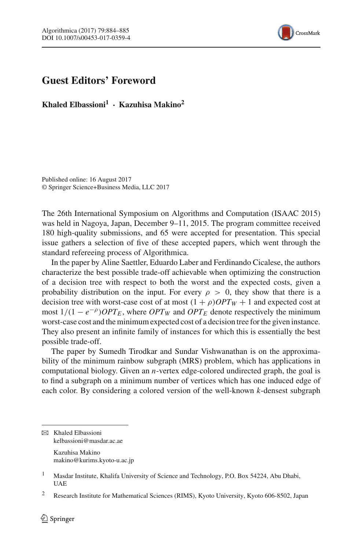

## **Guest Editors' Foreword**

**Khaled Elbassioni<sup>1</sup> · Kazuhisa Makino2**

Published online: 16 August 2017 © Springer Science+Business Media, LLC 2017

The 26th International Symposium on Algorithms and Computation (ISAAC 2015) was held in Nagoya, Japan, December 9–11, 2015. The program committee received 180 high-quality submissions, and 65 were accepted for presentation. This special issue gathers a selection of five of these accepted papers, which went through the standard refereeing process of Algorithmica.

In the paper by Aline Saettler, Eduardo Laber and Ferdinando Cicalese, the authors characterize the best possible trade-off achievable when optimizing the construction of a decision tree with respect to both the worst and the expected costs, given a probability distribution on the input. For every  $\rho > 0$ , they show that there is a decision tree with worst-case cost of at most  $(1 + \rho)OPT_W + 1$  and expected cost at most  $1/(1 - e^{-\rho})$ *OPT<sub>E</sub>*, where *OPT<sub>W</sub>* and *OPT<sub>E</sub>* denote respectively the minimum worst-case cost and the minimum expected cost of a decision tree for the given instance. They also present an infinite family of instances for which this is essentially the best possible trade-off.

The paper by Sumedh Tirodkar and Sundar Vishwanathan is on the approximability of the minimum rainbow subgraph (MRS) problem, which has applications in computational biology. Given an *n*-vertex edge-colored undirected graph, the goal is to find a subgraph on a minimum number of vertices which has one induced edge of each color. By considering a colored version of the well-known *k*-densest subgraph

B Khaled Elbassioni kelbassioni@masdar.ac.ae Kazuhisa Makino makino@kurims.kyoto-u.ac.jp

<sup>&</sup>lt;sup>1</sup> Masdar Institute, Khalifa University of Science and Technology, P.O. Box 54224, Abu Dhabi, UAE

<sup>2</sup> Research Institute for Mathematical Sciences (RIMS), Kyoto University, Kyoto 606-8502, Japan